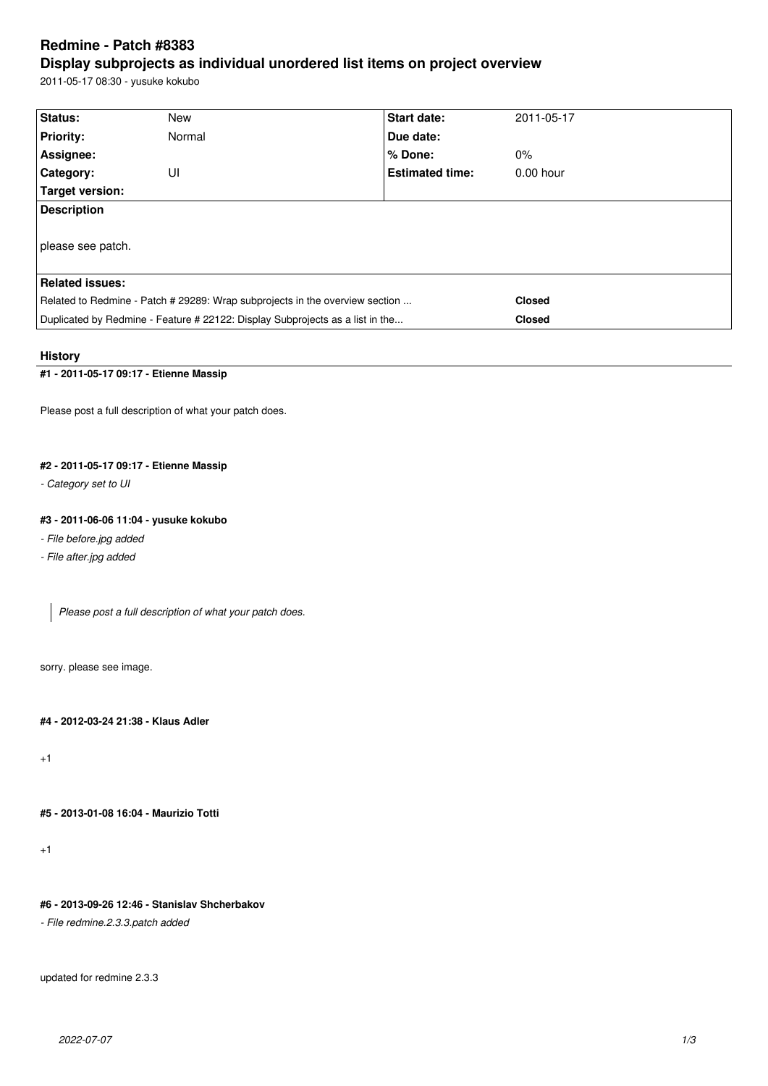# **Redmine - Patch #8383**

## **Display subprojects as individual unordered list items on project overview**

2011-05-17 08:30 - yusuke kokubo

| Status:                                                                       | <b>New</b> | <b>Start date:</b>     | 2011-05-17    |  |  |
|-------------------------------------------------------------------------------|------------|------------------------|---------------|--|--|
| <b>Priority:</b>                                                              | Normal     | Due date:              |               |  |  |
| Assignee:                                                                     |            | % Done:                | $0\%$         |  |  |
| <b>Category:</b>                                                              | UI         | <b>Estimated time:</b> | $0.00$ hour   |  |  |
| Target version:                                                               |            |                        |               |  |  |
| <b>Description</b>                                                            |            |                        |               |  |  |
| please see patch.                                                             |            |                        |               |  |  |
| <b>Related issues:</b>                                                        |            |                        |               |  |  |
| Related to Redmine - Patch # 29289: Wrap subprojects in the overview section  |            |                        | <b>Closed</b> |  |  |
| Duplicated by Redmine - Feature # 22122: Display Subprojects as a list in the |            |                        | <b>Closed</b> |  |  |

## **History**

## **#1 - 2011-05-17 09:17 - Etienne Massip**

Please post a full description of what your patch does.

## **#2 - 2011-05-17 09:17 - Etienne Massip**

*- Category set to UI*

## **#3 - 2011-06-06 11:04 - yusuke kokubo**

#### *- File before.jpg added*

*- File after.jpg added*

*Please post a full description of what your patch does.*

sorry. please see image.

### **#4 - 2012-03-24 21:38 - Klaus Adler**

+1

## **#5 - 2013-01-08 16:04 - Maurizio Totti**

+1

## **#6 - 2013-09-26 12:46 - Stanislav Shcherbakov**

*- File redmine.2.3.3.patch added*

updated for redmine 2.3.3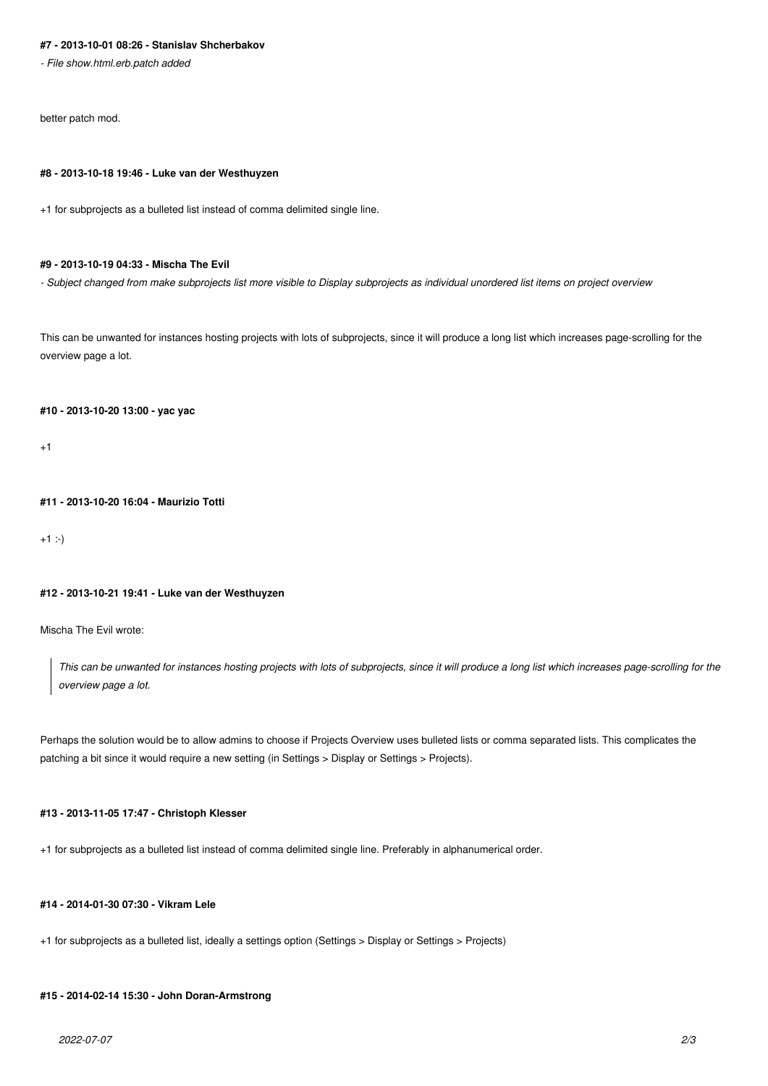#### **#7 - 2013-10-01 08:26 - Stanislav Shcherbakov**

*- File show.html.erb.patch added*

better patch mod.

#### **#8 - 2013-10-18 19:46 - Luke van der Westhuyzen**

+1 for subprojects as a bulleted list instead of comma delimited single line.

#### **#9 - 2013-10-19 04:33 - Mischa The Evil**

*- Subject changed from make subprojects list more visible to Display subprojects as individual unordered list items on project overview*

This can be unwanted for instances hosting projects with lots of subprojects, since it will produce a long list which increases page-scrolling for the overview page a lot.

#### **#10 - 2013-10-20 13:00 - yac yac**

 $+1$ 

## **#11 - 2013-10-20 16:04 - Maurizio Totti**

 $+1$  :-)

#### **#12 - 2013-10-21 19:41 - Luke van der Westhuyzen**

Mischa The Evil wrote:

*This can be unwanted for instances hosting projects with lots of subprojects, since it will produce a long list which increases page-scrolling for the overview page a lot.*

Perhaps the solution would be to allow admins to choose if Projects Overview uses bulleted lists or comma separated lists. This complicates the patching a bit since it would require a new setting (in Settings > Display or Settings > Projects).

#### **#13 - 2013-11-05 17:47 - Christoph Klesser**

+1 for subprojects as a bulleted list instead of comma delimited single line. Preferably in alphanumerical order.

#### **#14 - 2014-01-30 07:30 - Vikram Lele**

+1 for subprojects as a bulleted list, ideally a settings option (Settings > Display or Settings > Projects)

#### **#15 - 2014-02-14 15:30 - John Doran-Armstrong**